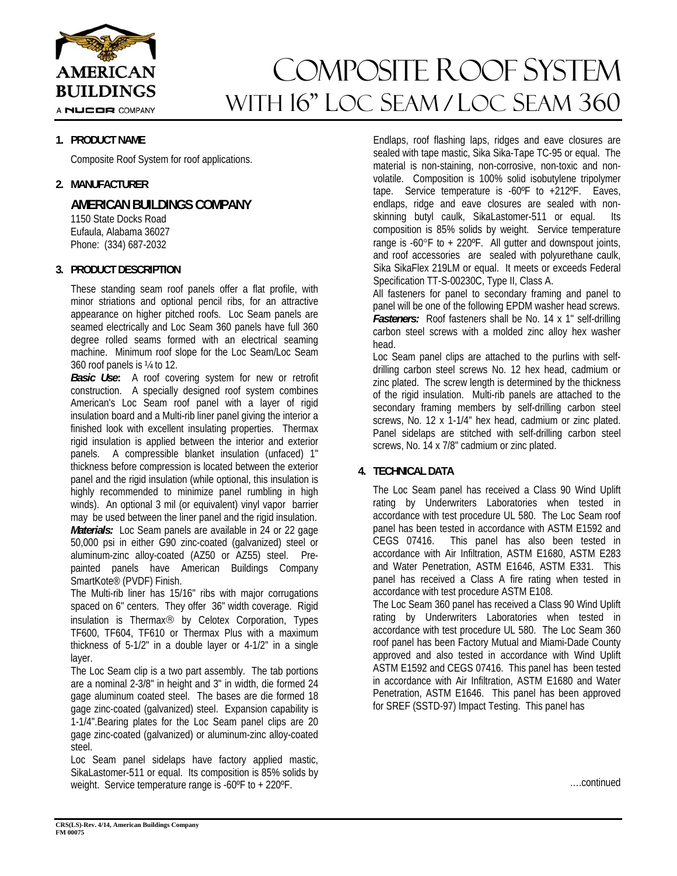

A NUCOR COMPANY

# COMPOSITE ROOF sYSTEM WITH 16" LOC SEAM / LOC SEAM 360

# **1. PRODUCT NAME**

Composite Roof System for roof applications.

## **2. MANUFACTURER**

**AMERICAN BUILDINGS COMPANY** 

 1150 State Docks Road Eufaula, Alabama 36027 Phone: (334) 687-2032

## **3. PRODUCT DESCRIPTION**

These standing seam roof panels offer a flat profile, with minor striations and optional pencil ribs, for an attractive appearance on higher pitched roofs. Loc Seam panels are seamed electrically and Loc Seam 360 panels have full 360 degree rolled seams formed with an electrical seaming machine. Minimum roof slope for the Loc Seam/Loc Seam 360 roof panels is ¼ to 12.

*Basic Use***:** A roof covering system for new or retrofit construction. A specially designed roof system combines American's Loc Seam roof panel with a layer of rigid insulation board and a Multi-rib liner panel giving the interior a finished look with excellent insulating properties. Thermax rigid insulation is applied between the interior and exterior panels. A compressible blanket insulation (unfaced) 1" thickness before compression is located between the exterior panel and the rigid insulation (while optional, this insulation is highly recommended to minimize panel rumbling in high winds). An optional 3 mil (or equivalent) vinyl vapor barrier may be used between the liner panel and the rigid insulation. *Materials:* Loc Seam panels are available in 24 or 22 gage 50,000 psi in either G90 zinc-coated (galvanized) steel or aluminum-zinc alloy-coated (AZ50 or AZ55) steel. Prepainted panels have American Buildings Company SmartKote® (PVDF) Finish.

The Multi-rib liner has 15/16" ribs with major corrugations spaced on 6" centers. They offer 36" width coverage. Rigid insulation is Thermax® by Celotex Corporation, Types TF600, TF604, TF610 or Thermax Plus with a maximum thickness of 5-1/2" in a double layer or 4-1/2" in a single layer.

The Loc Seam clip is a two part assembly. The tab portions are a nominal 2-3/8" in height and 3" in width, die formed 24 gage aluminum coated steel. The bases are die formed 18 gage zinc-coated (galvanized) steel. Expansion capability is 1-1/4".Bearing plates for the Loc Seam panel clips are 20 gage zinc-coated (galvanized) or aluminum-zinc alloy-coated steel.

Loc Seam panel sidelaps have factory applied mastic, SikaLastomer-511 or equal. Its composition is 85% solids by weight. Service temperature range is -60ºF to + 220ºF.

Endlaps, roof flashing laps, ridges and eave closures are sealed with tape mastic, Sika Sika-Tape TC-95 or equal. The material is non-staining, non-corrosive, non-toxic and nonvolatile. Composition is 100% solid isobutylene tripolymer tape. Service temperature is -60ºF to +212ºF. Eaves, endlaps, ridge and eave closures are sealed with nonskinning butyl caulk, SikaLastomer-511 or equal. Its composition is 85% solids by weight. Service temperature range is  $-60^{\circ}$ F to  $+220^{\circ}$ F. All gutter and downspout joints, and roof accessories are sealed with polyurethane caulk, Sika SikaFlex 219LM or equal. It meets or exceeds Federal Specification TT-S-00230C, Type II, Class A.

All fasteners for panel to secondary framing and panel to panel will be one of the following EPDM washer head screws. *Fasteners:* Roof fasteners shall be No. 14 x 1" self-drilling carbon steel screws with a molded zinc alloy hex washer head.

Loc Seam panel clips are attached to the purlins with selfdrilling carbon steel screws No. 12 hex head, cadmium or zinc plated. The screw length is determined by the thickness of the rigid insulation. Multi-rib panels are attached to the secondary framing members by self-drilling carbon steel screws, No. 12 x 1-1/4" hex head, cadmium or zinc plated. Panel sidelaps are stitched with self-drilling carbon steel screws, No. 14 x 7/8" cadmium or zinc plated.

# **4. TECHNICAL DATA**

The Loc Seam panel has received a Class 90 Wind Uplift rating by Underwriters Laboratories when tested in accordance with test procedure UL 580. The Loc Seam roof panel has been tested in accordance with ASTM E1592 and CEGS 07416. This panel has also been tested in accordance with Air Infiltration, ASTM E1680, ASTM E283 and Water Penetration, ASTM E1646, ASTM E331. This panel has received a Class A fire rating when tested in accordance with test procedure ASTM E108.

The Loc Seam 360 panel has received a Class 90 Wind Uplift rating by Underwriters Laboratories when tested in accordance with test procedure UL 580. The Loc Seam 360 roof panel has been Factory Mutual and Miami-Dade County approved and also tested in accordance with Wind Uplift ASTM E1592 and CEGS 07416. This panel has been tested in accordance with Air Infiltration, ASTM E1680 and Water Penetration, ASTM E1646. This panel has been approved for SREF (SSTD-97) Impact Testing. This panel has

….continued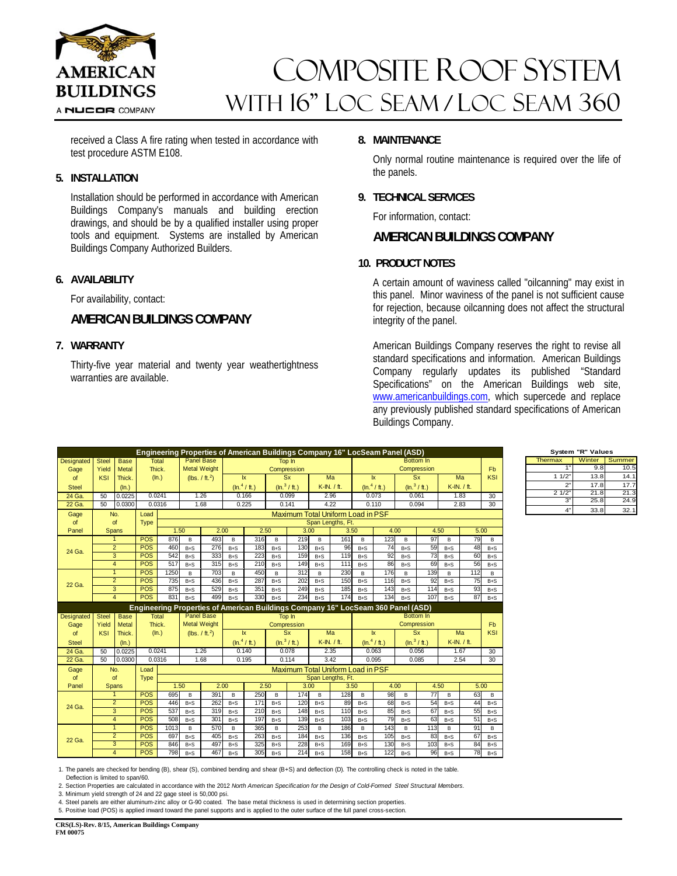

# COMPOSITE ROOF sYSTEM WITH 16" LOC SEAM / LOC SEAM 360

received a Class A fire rating when tested in accordance with test procedure ASTM E108.

## **5. INSTALLATION**

Installation should be performed in accordance with American Buildings Company's manuals and building erection drawings, and should be by a qualified installer using proper tools and equipment. Systems are installed by American Buildings Company Authorized Builders.

# **6. AVAILABILITY**

For availability, contact:

# **AMERICAN BUILDINGS COMPANY**

## **7. WARRANTY**

Thirty-five year material and twenty year weathertightness warranties are available.

## **8. MAINTENANCE**

Only normal routine maintenance is required over the life of the panels.

#### **9. TECHNICAL SERVICES**

For information, contact:

# **AMERICAN BUILDINGS COMPANY**

## **10. PRODUCT NOTES**

A certain amount of waviness called "oilcanning" may exist in this panel. Minor waviness of the panel is not sufficient cause for rejection, because oilcanning does not affect the structural integrity of the panel.

American Buildings Company reserves the right to revise all standard specifications and information. American Buildings Company regularly updates its published "Standard Specifications" on the American Buildings web site, www.americanbuildings.com, which supercede and replace any previously published standard specifications of American Buildings Company.

Thermax | Winter Summer

**System "R" Values**

 $9.8$  10.5 1/2" 13.8 14.1<br>2" 17.8 17.7  $17.8$ 2 1/2" 21.8 21.3  $25.8$  24.  $33.8$   $32.$ 

|                   |                             |                     |                          |                                   |                            |                            |                         |                         |                          |                                   |                  |                   |                         | Engineering Properties of American Buildings Company 16" LocSeam Panel (ASD)     |                          |                 |                    |          |                       |
|-------------------|-----------------------------|---------------------|--------------------------|-----------------------------------|----------------------------|----------------------------|-------------------------|-------------------------|--------------------------|-----------------------------------|------------------|-------------------|-------------------------|----------------------------------------------------------------------------------|--------------------------|-----------------|--------------------|----------|-----------------------|
| <b>Designated</b> | <b>Steel</b><br><b>Base</b> |                     | Total                    |                                   | Panel Base                 |                            | Top In                  |                         |                          |                                   |                  |                   | <b>Bottom In</b>        |                                                                                  |                          |                 |                    |          |                       |
| Gage              | Yield                       | <b>Metal</b>        | Thick.                   |                                   | <b>Metal Weight</b>        |                            | Compression             |                         |                          |                                   |                  |                   | Compression             |                                                                                  |                          |                 |                    |          | F <sub>b</sub><br>KSI |
| of                | <b>KSI</b><br>Thick.        |                     |                          | (ln.)                             |                            | (lbs. / ft. <sup>2</sup> ) |                         | $\overline{\mathbf{x}}$ |                          | <b>Sx</b>                         |                  | Ma                |                         | $\mathsf{I} \mathsf{x}$                                                          |                          | <b>Sx</b>       |                    | Ma       |                       |
| <b>Steel</b>      | (ln.)                       |                     |                          |                                   |                            |                            |                         | $(\ln ^{4}/$ ft.)       |                          | (ln. <sup>3</sup> / ft.)          | K-IN. / ft.      |                   | $(\ln ^{4}/\text{ft.})$ |                                                                                  | $(\ln.^3 / \text{ft.})$  |                 | K-IN. / ft.        |          |                       |
| 24 Ga.            | 50<br>0.0225                |                     | 0.0241                   |                                   | 1.26                       |                            | 0.166                   |                         | 0.099                    |                                   | 2.96             |                   | 0.073                   |                                                                                  | 0.061                    |                 | 1.83               |          | 30                    |
| 22 Ga.            | 50<br>0.0300                |                     | 0.0316                   |                                   | 1.68                       |                            | 0.225                   |                         | 0.141                    |                                   | 4.22             |                   | 0.110                   |                                                                                  | 0.094                    |                 | 2.83               |          | 30                    |
| Gage              |                             | No.                 | Load                     | Maximum Total Uniform Load in PSF |                            |                            |                         |                         |                          |                                   |                  |                   |                         |                                                                                  |                          |                 |                    |          |                       |
| of                |                             | of                  | <b>Type</b>              |                                   |                            |                            |                         |                         |                          |                                   |                  | Span Lengths, Ft. |                         |                                                                                  |                          |                 |                    |          |                       |
| Panel             | Spans                       |                     |                          |                                   | 1.50                       |                            | 2.00                    |                         | 2.50                     |                                   | 3.00             |                   | 3.50                    |                                                                                  | 4.00                     |                 | 4.50               |          | 5.00                  |
|                   | 1                           |                     | <b>POS</b>               | 876                               | B                          | 493                        | B                       | 316                     | B                        | 219                               | B                | 161               | B                       | 123                                                                              | B                        | 97              | B                  | 79       | B                     |
| 24 Ga.            | $\overline{2}$              |                     | <b>POS</b>               | 460                               | $B + S$                    | 276                        | $B + S$                 | 183                     | $B + S$                  | 130                               | $B + S$          | 96                | $B + S$                 | 74                                                                               | $B + S$                  | 59              | $B + S$            | 48       | $B + S$               |
|                   | 3                           |                     | <b>POS</b>               | 542                               | $B + S$                    | 333                        | $B + S$                 | 223                     | $B + S$                  | 159                               | $B + S$          | 119               | $B + S$                 | 92                                                                               | $B + S$                  | 73              | $B + S$            | 60       | $B + S$               |
|                   | $\overline{4}$              |                     | POS                      | 517                               | $B + S$                    | 315                        | $B + S$                 | 210                     | $B + S$                  | 149                               | $B + S$          | 111               | $B + S$                 | 86                                                                               | $B + S$                  | 69              | $B + S$            | 56       | $B + S$               |
|                   | $\overline{1}$              |                     | <b>POS</b>               | 1250                              | B                          | 703                        | B                       | 450                     | B                        | 312                               | B                | 230               | B                       | 176                                                                              | B                        | 139             | B                  | 112      | B                     |
| 22 Ga.            | $\overline{2}$              |                     | <b>POS</b>               | 735                               | $B + S$                    | 436                        | $B + S$                 | 287                     | $B + S$                  | 202                               | $B + S$          | 150               | $B + S$                 | 116                                                                              | $B + S$                  | 92              | $B + S$            | 75       | $B + S$               |
|                   | 3                           |                     | <b>POS</b>               | 875                               | $B + S$                    | 529                        | $B + S$                 | 351                     | $B + S$                  | 249                               | $B + S$          | 185               | $B + S$                 | 143                                                                              | $B + S$                  | 114             | $B + S$            | 93       | $B + S$               |
|                   | $\overline{4}$              |                     | <b>POS</b>               | 831                               | $B + S$                    | 499                        | $B+S$                   | 330                     | $B + S$                  | 234                               | $B + S$          | 174               | $B + S$                 | 134                                                                              | $B + S$                  | 107             | $B + S$            | 87       | $B + S$               |
|                   |                             |                     |                          |                                   |                            |                            |                         |                         |                          |                                   |                  |                   |                         |                                                                                  |                          |                 |                    |          |                       |
|                   |                             |                     |                          |                                   |                            |                            |                         |                         |                          |                                   |                  |                   |                         | Engineering Properties of American Buildings Company 16" LocSeam 360 Panel (ASD) |                          |                 |                    |          |                       |
| <b>Designated</b> | <b>Steel</b>                | <b>Base</b>         | <b>Total</b>             |                                   | <b>Panel Base</b>          |                            |                         |                         | Top In                   |                                   |                  |                   |                         |                                                                                  |                          | Bottom In       |                    |          |                       |
| Gage              | Yield                       | Metal               | Thick.                   |                                   | <b>Metal Weight</b>        |                            |                         |                         | Compression              |                                   |                  |                   |                         |                                                                                  | Compression              |                 |                    |          | <b>Fb</b>             |
| of                | <b>KSI</b>                  | Thick.              | (ln.)                    |                                   | (lbs. / ft. <sup>2</sup> ) |                            |                         | $\mathsf{I} \mathsf{x}$ | Sx                       |                                   |                  | Ma                |                         | $\mathsf{k}$                                                                     |                          | Sx              | Ma                 |          | KSI                   |
| <b>Steel</b>      |                             | (ln.)               |                          |                                   |                            |                            | $(\ln ^{4}/\text{ft.})$ |                         | (ln. <sup>3</sup> / ft.) |                                   | K-IN, / ft.      |                   |                         | $(\ln.4 / ft.)$                                                                  | (ln. <sup>3</sup> / ft.) |                 | K-IN, / ft.        |          |                       |
| 24 Ga.            | 50                          | 0.0225              | 0.0241                   |                                   | 1.26                       |                            |                         | 0.140                   | 0.078                    |                                   | 2.35             |                   |                         | 0.063                                                                            |                          | 0.056           | 1.67               |          | 30                    |
| 22 Ga.            | 50                          | 0.0300              | 0.0316                   |                                   | 1.68                       |                            |                         | 0.195                   | 0.114                    |                                   | 3.42             |                   | 0.095                   |                                                                                  |                          | 0.085           | 2.54               |          | 30                    |
| Gage              |                             | No.                 | Load                     |                                   |                            |                            |                         |                         |                          | Maximum Total Uniform Load in PSF |                  |                   |                         |                                                                                  |                          |                 |                    |          |                       |
| <b>of</b>         |                             | of                  | <b>Type</b>              |                                   |                            |                            |                         |                         |                          |                                   |                  | Span Lengths, Ft. |                         |                                                                                  |                          |                 |                    |          |                       |
| Panel             |                             | Spans               |                          | 1.50                              |                            | 2.00                       |                         | 2.50                    |                          | 3.00                              |                  | 3.50              |                         | 4.00                                                                             |                          | 4.50            |                    | 5.00     |                       |
|                   |                             | 1                   | <b>POS</b>               | 695                               | B                          | 391                        | B                       | 250                     | B                        | 174                               | B                | 128               | B                       | 98                                                                               | B                        | $\overline{77}$ | B                  | 63       | B                     |
| 24 Ga.            |                             | $\overline{2}$      | <b>POS</b>               | 446                               | $B + S$                    | 262                        | $B + S$                 | 171                     | $B + S$                  | 120                               | $B + S$          | 89                | $B + S$                 | 68                                                                               | $B + S$                  | 54              | $B + S$            | 44       | $B + S$               |
|                   |                             | 3                   | <b>POS</b>               | 537                               | $B + S$                    | 319                        | $B + S$                 | 210                     | $B + S$                  | 148                               | $B+S$            | 110               | $B + S$                 | 85                                                                               | $B + S$                  | 67              | $B + S$            | 55       | $B + S$               |
|                   |                             | $\overline{4}$      | <b>POS</b>               | 508                               | $B + S$                    | 301                        | $B + S$                 | 197                     | $B + S$                  | 139                               | $B+S$            | 103               | $B + S$                 | 79                                                                               | $B + S$                  | 63              | $B + S$            | 51       | $B + S$               |
|                   |                             | $\mathbf{1}$        | <b>POS</b>               | 1013                              | B                          | 570                        | B                       | 365                     | B                        | 253                               | B                | 186               | B                       | 143                                                                              | B                        | 113             | B                  | 91       | B                     |
| 22 Ga.            |                             | $\overline{2}$      | <b>POS</b>               | 697                               | $B + S$                    | 405                        | $B + S$                 | 263                     | $B + S$                  | 184                               | $B+S$            | 136               | $B + S$                 | 105                                                                              | $B + S$                  | 83              | $B + S$            | 67       | $B + S$               |
|                   |                             | 3<br>$\overline{4}$ | <b>POS</b><br><b>POS</b> | 846<br>798                        | $B + S$<br>$B + S$         | 497<br>467                 | $B + S$<br>$B + S$      | 325<br>305              | $B + S$<br>$B + S$       | 228<br>214                        | $B+S$<br>$B + S$ | 169<br>158        | $B + S$<br>$B + S$      | 130<br>122                                                                       | $B + S$<br>$B+S$         | 103<br>96       | $B + S$<br>$B + S$ | 84<br>78 | $B + S$<br>$B + S$    |

1. The panels are checked for bending (B), shear (S), combined bending and shear (B+S) and deflection (D). The controlling check is noted in the table.

Deflection is limited to span/60.

2. Section Properties are calculated in accordance with the 2012 *North American Specification for the Design of Cold-Formed Steel Structural Members.* 

3. Minimum yield strength of 24 and 22 gage steel is 50,000 psi.

4. Steel panels are either aluminum-zinc alloy or G-90 coated. The base metal thickness is used in determining section properties.

5. Positive load (POS) is applied inward toward the panel supports and is applied to the outer surface of the full panel cross-section.

**CRS(LS)-Rev. 8/15, American Buildings Company FM 00075**